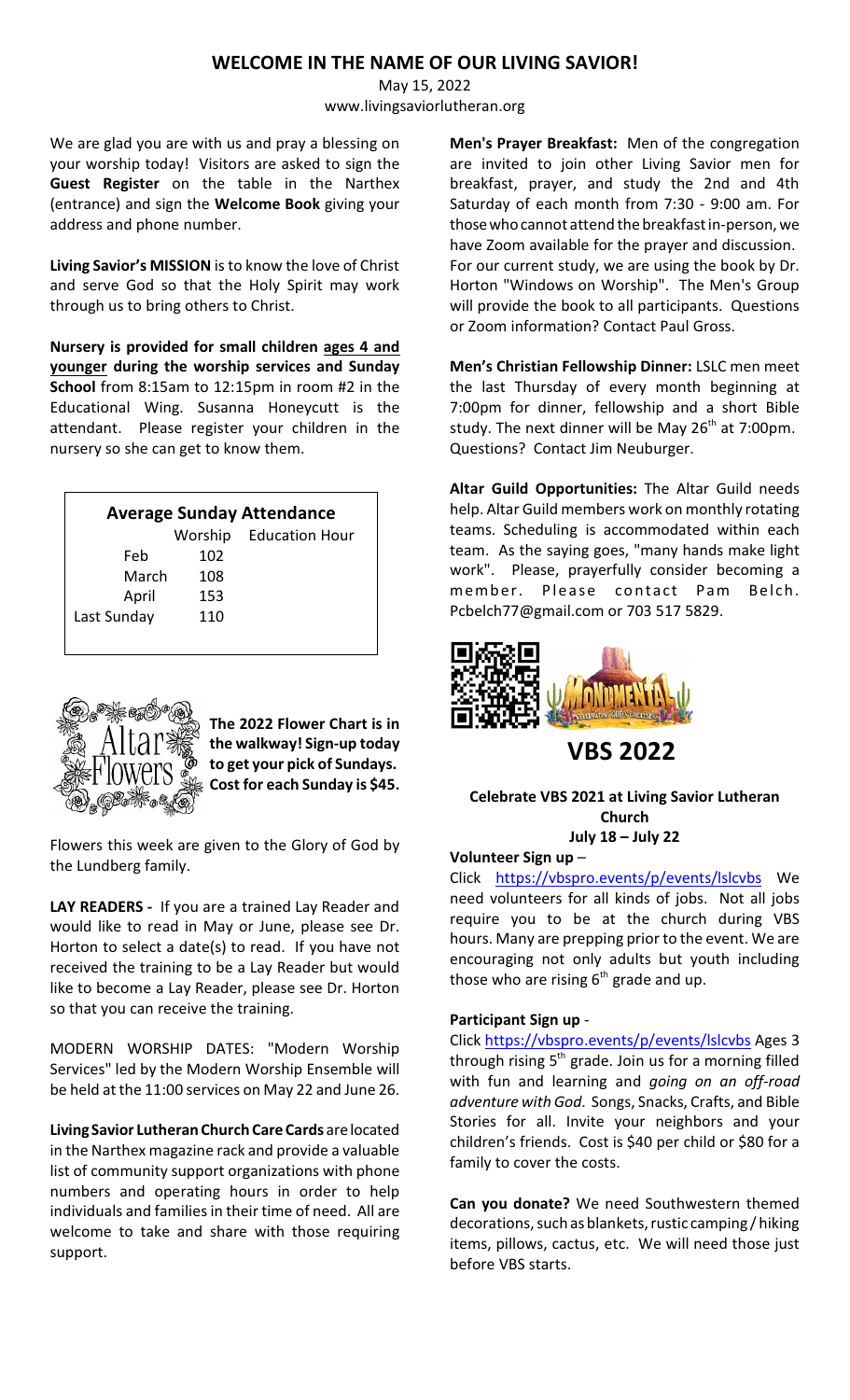# **WELCOME IN THE NAME OF OUR LIVING SAVIOR!**

May 15, 2022 www.livingsaviorlutheran.org

We are glad you are with us and pray a blessing on your worship today! Visitors are asked to sign the **Guest Register** on the table in the Narthex (entrance) and sign the **Welcome Book** giving your address and phone number.

**Living Savior's MISSION** is to know the love of Christ and serve God so that the Holy Spirit may work through us to bring others to Christ.

**Nursery is provided for small children ages 4 and younger during the worship services and Sunday School** from 8:15am to 12:15pm in room #2 in the Educational Wing. Susanna Honeycutt is the attendant. Please register your children in the nursery so she can get to know them.

| <b>Average Sunday Attendance</b> |         |                       |  |
|----------------------------------|---------|-----------------------|--|
|                                  | Worship | <b>Education Hour</b> |  |
| Feb                              | 102     |                       |  |
| March                            | 108     |                       |  |
| April                            | 153     |                       |  |
| Last Sunday                      | 110     |                       |  |
|                                  |         |                       |  |



**The 2022 Flower Chart is in the walkway! Sign-up today to get your pick of Sundays. Cost for each Sunday is \$45.**

Flowers this week are given to the Glory of God by the Lundberg family.

**LAY READERS -** If you are a trained Lay Reader and would like to read in May or June, please see Dr. Horton to select a date(s) to read. If you have not received the training to be a Lay Reader but would like to become a Lay Reader, please see Dr. Horton so that you can receive the training.

MODERN WORSHIP DATES: "Modern Worship Services" led by the Modern Worship Ensemble will be held at the 11:00 services on May 22 and June 26.

**Living Savior Lutheran Church Care Cards** arelocated in the Narthex magazine rack and provide a valuable list of community support organizations with phone numbers and operating hours in order to help individuals and families in their time of need. All are welcome to take and share with those requiring support.

**Men's Prayer Breakfast:** Men of the congregation are invited to join other Living Savior men for breakfast, prayer, and study the 2nd and 4th Saturday of each month from 7:30 - 9:00 am. For those whocannot attend the breakfast in-person, we have Zoom available for the prayer and discussion. For our current study, we are using the book by Dr. Horton "Windows on Worship". The Men's Group will provide the book to all participants. Questions or Zoom information? Contact Paul Gross.

**Men's Christian Fellowship Dinner:** LSLC men meet the last Thursday of every month beginning at 7:00pm for dinner, fellowship and a short Bible study. The next dinner will be May 26<sup>th</sup> at 7:00pm. Questions? Contact Jim Neuburger.

**Altar Guild Opportunities:** The Altar Guild needs help. Altar Guild members work on monthly rotating teams. Scheduling is accommodated within each team. As the saying goes, "many hands make light work". Please, prayerfully consider becoming a member. Please contact Pam Belch. Pcbelch77@gmail.com or 703 517 5829.



**VBS 2022** 

### **Celebrate VBS 2021 at Living Savior Lutheran Church July 18 – July 22**

**Volunteer Sign up** –

Click <https://vbspro.events/p/events/lslcvbs> We need volunteers for all kinds of jobs. Not all jobs require you to be at the church during VBS hours. Many are prepping prior to the event. We are encouraging not only adults but youth including those who are rising  $6<sup>th</sup>$  grade and up.

# **Participant Sign up** -

Click [https://vbspro.events/p/events/lslcvbs](https://vbspro.events/p/events/lslcvbs
) Ages 3 through rising  $5<sup>th</sup>$  grade. Join us for a morning filled with fun and learning and *going on an off-road adventure with God*. Songs, Snacks, Crafts, and Bible Stories for all. Invite your neighbors and your children's friends. Cost is \$40 per child or \$80 for a family to cover the costs.

**Can you donate?** We need Southwestern themed decorations, such as blankets, rustic camping / hiking items, pillows, cactus, etc. We will need those just before VBS starts.